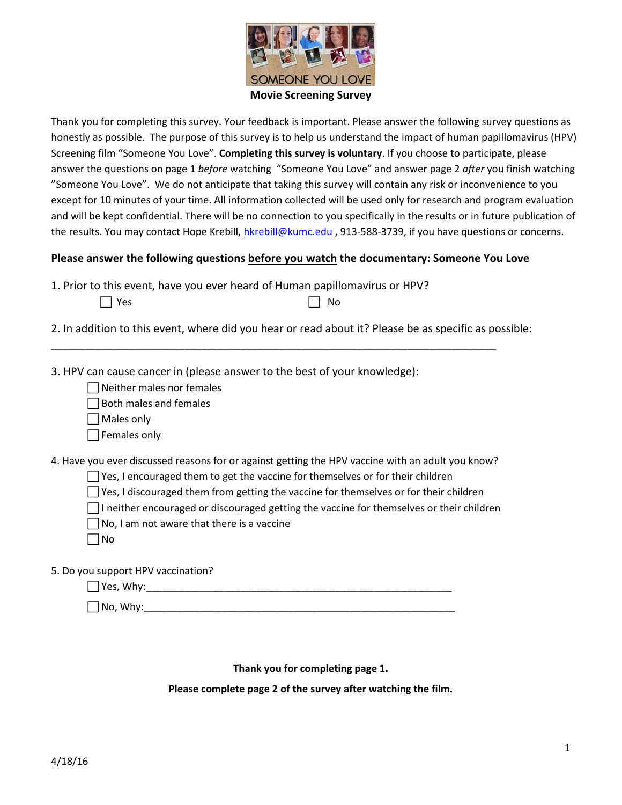

Thank you for completing this survey. Your feedback is important. Please answer the following survey questions as honestly as possible. The purpose of this survey is to help us understand the impact of human papillomavirus (HPV) Screening film "Someone You Love". **Completing this survey is voluntary**. If you choose to participate, please answer the questions on page 1 *before* watching "Someone You Love" and answer page 2 *after* you finish watching "Someone You Love". We do not anticipate that taking this survey will contain any risk or inconvenience to you except for 10 minutes of your time. All information collected will be used only for research and program evaluation and will be kept confidential. There will be no connection to you specifically in the results or in future publication of the results. You may contact Hope Krebill, [hkrebill@kumc.edu](mailto:hkrebill@kumc.edu) , 913-588-3739, if you have questions or concerns.

## **Please answer the following questions before you watch the documentary: Someone You Love**

1. Prior to this event, have you ever heard of Human papillomavirus or HPV?  $\Box$  Yes  $\Box$  No

2. In addition to this event, where did you hear or read about it? Please be as specific as possible:

\_\_\_\_\_\_\_\_\_\_\_\_\_\_\_\_\_\_\_\_\_\_\_\_\_\_\_\_\_\_\_\_\_\_\_\_\_\_\_\_\_\_\_\_\_\_\_\_\_\_\_\_\_\_\_\_\_\_\_\_\_\_\_\_\_\_\_\_\_\_\_\_\_\_\_\_\_\_\_\_

3. HPV can cause cancer in (please answer to the best of your knowledge):

Neither males nor females

 $\Box$  Both males and females

Males only

 $\Box$  Females only

4. Have you ever discussed reasons for or against getting the HPV vaccine with an adult you know?

 $\Box$  Yes, I encouraged them to get the vaccine for themselves or for their children

 $\Box$  Yes, I discouraged them from getting the vaccine for themselves or for their children

 $\Box$ I neither encouraged or discouraged getting the vaccine for themselves or their children

 $\Box$  No, I am not aware that there is a vaccine

 $\Box$ No

5. Do you support HPV vaccination?

| <b>Yes</b><br>Wh'<br>$\sim$<br>. |  |  |  |
|----------------------------------|--|--|--|
|                                  |  |  |  |

 $\Box$  No, Why:

**Thank you for completing page 1.** 

**Please complete page 2 of the survey after watching the film.**